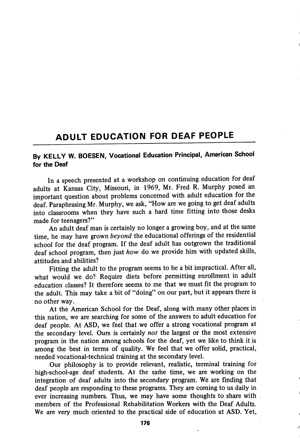## ADULT EDUCATION FOR DEAF PEOPLE

## By KELLY W. BOESEN, Vocational Education Principal, American School for the Deaf

In a speech presented at a workshop on continuing education for deaf adults at Kansas City, Missouri, in 1969, Mr. Fred R. Murphy posed an important question about problems concerned with adult education for the deaf. Paraphrasing Mr. Murphy, we ask, "How are we going to get deaf adults into classrooms when they have such a hard time fitting into those desks made for teenagers?"

An adult deaf man is certainly no longer a growing boy, and at the same time, he may have grown beyond the educational offerings of the residential school for the deaf program. If the deaf adult has outgrown the traditional deaf school program, then just how do we provide him with updated skills, attitudes and abilities?

Fitting the adult to the program seems to be a bit impractical. After all, what would we do? Require diets before permitting enrollment in adult education classes? It therefore seems to me that we must fit the program to the adult. This may take a bit of "doing" on our part, but it appears there is no other way.

At the American School for the Deaf, along with many other places in this nation, we are searching for some of the answers to adult education for deaf people. At ASD, we feel that we offer a strong vocational program at the secondary level. Ours is certainly not the largest or the most extensive program in the nation among schools for the deaf, yet we like to think it is among the best in terms of quality. We feel that we offer solid, practical, needed vocational-technical training at the secondary level.

Our philosophy is to provide relevant, realistic, terminal training for high-school-age deaf students. At the same time, we are working on the integration of deaf adults into the secondary program. We are finding that deaf people are responding to these programs. They are coming to us daily in ever increasing numbers. Thus, we may have some thoughts to share with members of the Professional Rehabilitation Workers with the Deaf Adults. We are very much oriented to the practical side of education at ASD. Yet,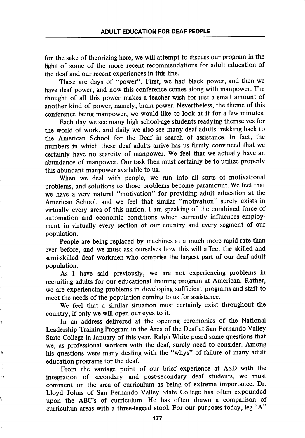for the sake of theorizing here, we will attempt to discuss our program in the light of some of the more recent recommendations for adult education of the deaf and our recent experiences in this line.

These are days of "power". First, we had black power, and then we have deaf power, and now this conference comes along with manpower. The thought of all this power makes a teacher wish for just a small amount of another kind of power, namely, brain power. Nevertheless, the theme of this conference being manpower, we would like to look at it for a few minutes.

Each day we see many high school-age students readying themselves for the world of work, and daily we also see many deaf adults trekking back to the American School for the Deaf in search of assistance. In fact, the numbers in which these deaf adults arrive has us firmly convinced that we certainly have no scarcity of manpower. We feel that we actually have an abundance of manpower. Our task then must certainly be to utilize properly this abundant manpower available to us.

When we deal with people, we run into all sorts of motivational problems, and solutions to those problems become paramount. We feel that we have a very natural "motivation" for providing adult education at the American School, and we feel that similar "motivation" surely exists in virtually every area of this nation. I am speaking of the combined force of automation and economic conditions which currently influences employ ment in virtually every section of our country and every segment of our population.

People are being replaced by machines at a much more rapid rate than ever before, and we must ask ourselves how this will affect the skilled and semi-skilled deaf workmen who comprise the largest part of our deaf adult population.

As I have said previously, we are not experiencing problems in recruiting adults for our educational training program at American. Rather, we are experiencing problems in developing sufficient programs and staff to meet the needs of the population coming to us for assistance.

We feel that a similar situation must certainly exist throughout the country, if only we will open our eyes to it.

Ŋ

ð

े.

In an address delivered at the opening ceremonies of the National Leadership Training Program in the Area of the Deaf at San Fernando Valley State College in January of this year, Ralph White posed some questions that we, as professional workers with the deaf, surely need to consider. Among his questions were many dealing with the "whys" of failure of many adult education programs for the deaf.

From the vantage point of our brief experience at ASD with the integration of secondary and post-secondary deaf students, we must comment on the area of curriculum as being of extreme importance. Dr. Lloyd Johns of San Fernando Valley State College has often expounded upon the ABC's of curriculum. He has often drawn a comparison of curriculum areas with a three-legged stool. For our purposes today, leg "A"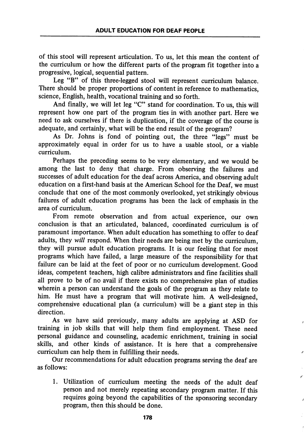of this stool will represent articulation. To us, let this mean the content of the curriculum or how the different parts of the program fit together into a progressive, logical, sequential pattern.

Leg "B" of this three-legged stool will represent curriculum balance. There should be proper proportions of content in reference to mathematics, science, English, health, vocational training and so forth.

And finally, we will let leg "C" stand for coordination. To us, this will represent how one part of the program ties in with another part. Here we need to ask ourselves if there is duplication, if the coverage of the course is adequate, and certainly, what will be the end result of the program?

As Dr. Johns is fond of pointing out, the three "legs" must be approximately equal in order for us to have a usable stool, or a viable curriculum.

Perhaps the preceding seems to be very elementary, and we would be among the last to deny that charge. From observing the failures and successes of adult education for the deaf across America, and observing adult education on a first-hand basis at the American School for the Deaf, we must conclude that one of the most commonly overlooked, yet strikingly obvious failures of adult education programs has been the lack of emphasis in the area of curriculum.

From remote observation and from actual experience, our own conclusion is that an articulated, balanced, coordinated curriculum is of paramount importance. When adult education has something to offer to deaf adults, they will respond. When their needs are being met by the curriculum, they will pursue adult education programs. It is our feeling that for most programs which have failed, a large measure of the responsibility for that failure can be laid at the feet of poor or no curriculum development. Good ideas, competent teachers, high calibre administrators and fine facilities shall all prove to be of no avail if there exists no comprehensive plan of studies wherein a person can understand the goals of the program as they relate to him. He must have a program that will motivate him. A well-designed, comprehensive educational plan (a curriculum) will be a giant step in this direction.

As we have said previously, many adults are applying at ASD for training in job skills that will help them find employment. These need personal guidance and counseling, academic enrichment, training in social skills, and other kinds of assistance. It is here that a comprehensive curriculum can help them in fulfilling their needs.

Our recommendations for adult education programs serving the deaf are as follows:

1. Utilization of curriculum meeting the needs of the adult deaf person and not merely repeating secondary program matter. If this requires going beyond the capabilities of the sponsoring secondary program, then this should be done.